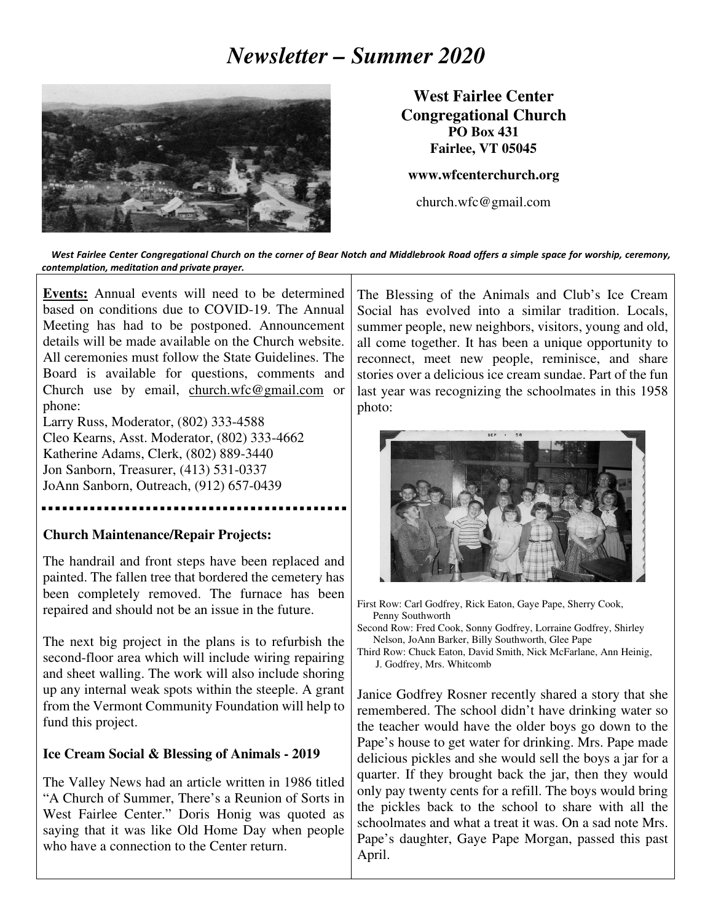# *Newsletter – Summer 2020*



**West Fairlee Center Congregational Church PO Box 431 Fairlee, VT 05045** 

**www.wfcenterchurch.org** 

church.wfc@gmail.com

 West Fairlee Center Congregational Church on the corner of Bear Notch and Middlebrook Road offers a simple space for worship, ceremony, contemplation, meditation and private prayer.

**Events:** Annual events will need to be determined based on conditions due to COVID-19. The Annual Meeting has had to be postponed. Announcement details will be made available on the Church website. All ceremonies must follow the State Guidelines. The Board is available for questions, comments and Church use by email, church.wfc@gmail.com or phone:

Larry Russ, Moderator, (802) 333-4588 Cleo Kearns, Asst. Moderator, (802) 333-4662 Katherine Adams, Clerk, (802) 889-3440 Jon Sanborn, Treasurer, (413) 531-0337 JoAnn Sanborn, Outreach, (912) 657-0439

#### **Church Maintenance/Repair Projects:**

The handrail and front steps have been replaced and painted. The fallen tree that bordered the cemetery has been completely removed. The furnace has been repaired and should not be an issue in the future.

The next big project in the plans is to refurbish the second-floor area which will include wiring repairing and sheet walling. The work will also include shoring up any internal weak spots within the steeple. A grant from the Vermont Community Foundation will help to fund this project.

### **Ice Cream Social & Blessing of Animals - 2019**

The Valley News had an article written in 1986 titled "A Church of Summer, There's a Reunion of Sorts in West Fairlee Center." Doris Honig was quoted as saying that it was like Old Home Day when people who have a connection to the Center return.

The Blessing of the Animals and Club's Ice Cream Social has evolved into a similar tradition. Locals, summer people, new neighbors, visitors, young and old, all come together. It has been a unique opportunity to reconnect, meet new people, reminisce, and share stories over a delicious ice cream sundae. Part of the fun last year was recognizing the schoolmates in this 1958 photo:



First Row: Carl Godfrey, Rick Eaton, Gaye Pape, Sherry Cook, Penny Southworth

Second Row: Fred Cook, Sonny Godfrey, Lorraine Godfrey, Shirley Nelson, JoAnn Barker, Billy Southworth, Glee Pape

Third Row: Chuck Eaton, David Smith, Nick McFarlane, Ann Heinig, J. Godfrey, Mrs. Whitcomb

Janice Godfrey Rosner recently shared a story that she remembered. The school didn't have drinking water so the teacher would have the older boys go down to the Pape's house to get water for drinking. Mrs. Pape made delicious pickles and she would sell the boys a jar for a quarter. If they brought back the jar, then they would only pay twenty cents for a refill. The boys would bring the pickles back to the school to share with all the schoolmates and what a treat it was. On a sad note Mrs. Pape's daughter, Gaye Pape Morgan, passed this past April.